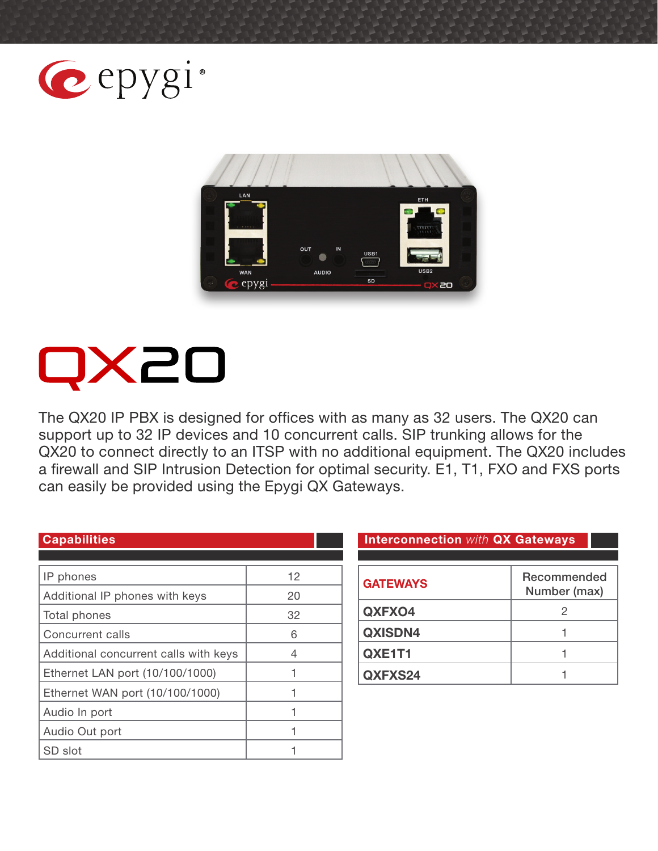



# **IX20**

The QX20 IP PBX is designed for offices with as many as 32 users. The QX20 can support up to 32 IP devices and 10 concurrent calls. SIP trunking allows for the QX20 to connect directly to an ITSP with no additional equipment. The QX20 includes a firewall and SIP Intrusion Detection for optimal security. E1, T1, FXO and FXS ports can easily be provided using the Epygi QX Gateways.

| IP phones                             | $12 \overline{ }$ |
|---------------------------------------|-------------------|
| Additional IP phones with keys        | 20                |
| Total phones                          | 32                |
| <b>Concurrent calls</b>               | 6                 |
| Additional concurrent calls with keys | 4                 |
| Ethernet LAN port (10/100/1000)       |                   |
| Ethernet WAN port (10/100/1000)       |                   |
| Audio In port                         |                   |
| Audio Out port                        |                   |
| SD slot                               |                   |

**Capabilities Interconnection** *with* **QX Gateways**

| <b>GATEWAYS</b> | Recommended<br>Number (max) |
|-----------------|-----------------------------|
| QXFXO4          | 2                           |
| <b>QXISDN4</b>  |                             |
| QXE1T1          |                             |
| QXFXS24         |                             |